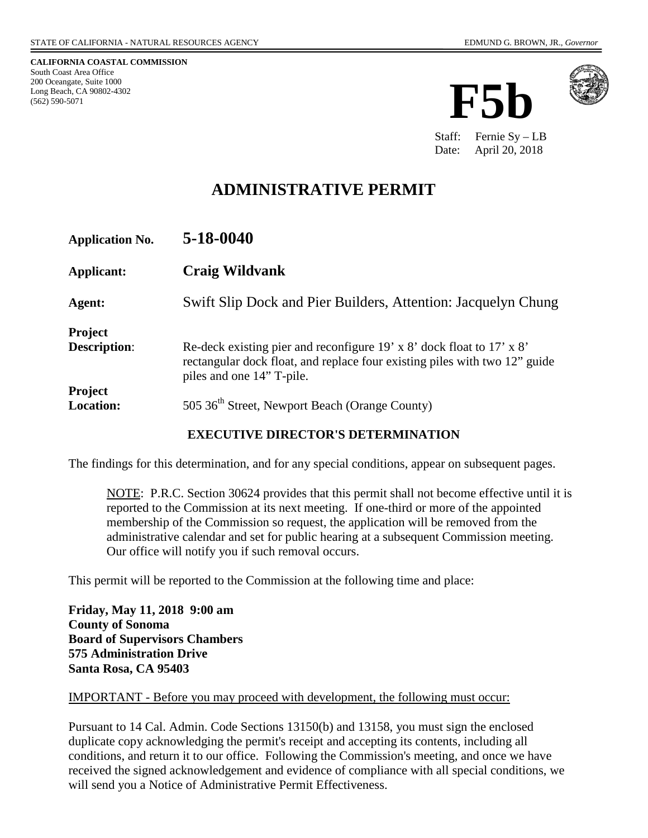**CALIFORNIA COASTAL COMMISSION** South Coast Area Office 200 Oceangate, Suite 1000 Long Beach, CA 90802-4302 (562) 590-5071





Staff: Fernie Sy – LB Date: April 20, 2018

# **ADMINISTRATIVE PERMIT**

| <b>Application No.</b>                | 5-18-0040                                                                                                                                                                        |
|---------------------------------------|----------------------------------------------------------------------------------------------------------------------------------------------------------------------------------|
| <b>Applicant:</b>                     | <b>Craig Wildvank</b>                                                                                                                                                            |
| Agent:                                | Swift Slip Dock and Pier Builders, Attention: Jacquelyn Chung                                                                                                                    |
| <b>Project</b><br><b>Description:</b> | Re-deck existing pier and reconfigure 19' x 8' dock float to 17' x 8'<br>rectangular dock float, and replace four existing piles with two 12" guide<br>piles and one 14" T-pile. |
| <b>Project</b><br><b>Location:</b>    | 505 36 <sup>th</sup> Street, Newport Beach (Orange County)                                                                                                                       |

#### **EXECUTIVE DIRECTOR'S DETERMINATION**

The findings for this determination, and for any special conditions, appear on subsequent pages.

NOTE: P.R.C. Section 30624 provides that this permit shall not become effective until it is reported to the Commission at its next meeting. If one-third or more of the appointed membership of the Commission so request, the application will be removed from the administrative calendar and set for public hearing at a subsequent Commission meeting. Our office will notify you if such removal occurs.

This permit will be reported to the Commission at the following time and place:

**Friday, May 11, 2018 9:00 am County of Sonoma Board of Supervisors Chambers 575 Administration Drive Santa Rosa, CA 95403** 

#### IMPORTANT - Before you may proceed with development, the following must occur:

Pursuant to 14 Cal. Admin. Code Sections 13150(b) and 13158, you must sign the enclosed duplicate copy acknowledging the permit's receipt and accepting its contents, including all conditions, and return it to our office. Following the Commission's meeting, and once we have received the signed acknowledgement and evidence of compliance with all special conditions, we will send you a Notice of Administrative Permit Effectiveness.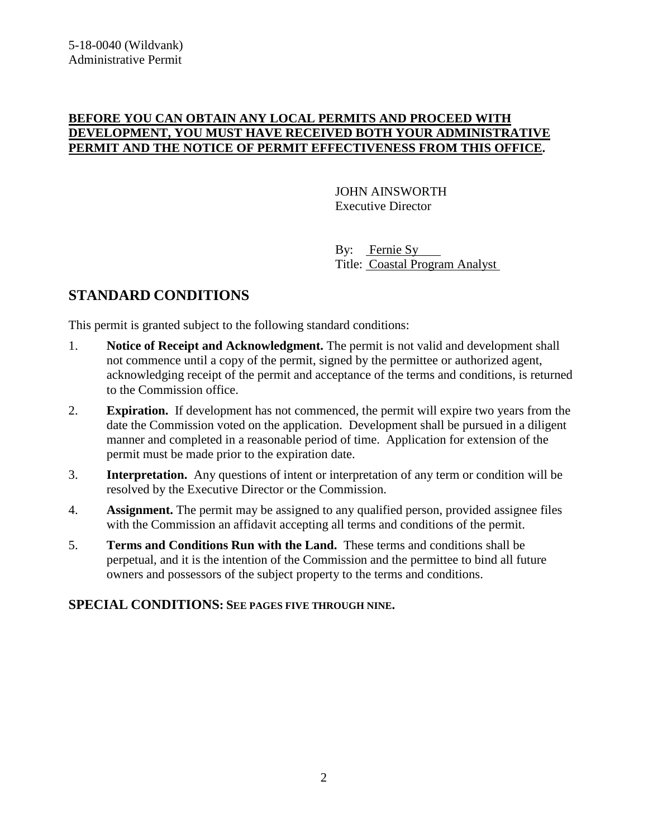### **BEFORE YOU CAN OBTAIN ANY LOCAL PERMITS AND PROCEED WITH DEVELOPMENT, YOU MUST HAVE RECEIVED BOTH YOUR ADMINISTRATIVE PERMIT AND THE NOTICE OF PERMIT EFFECTIVENESS FROM THIS OFFICE.**

 JOHN AINSWORTH Executive Director

 By: Fernie Sy Title: Coastal Program Analyst

## **STANDARD CONDITIONS**

This permit is granted subject to the following standard conditions:

- 1. **Notice of Receipt and Acknowledgment.** The permit is not valid and development shall not commence until a copy of the permit, signed by the permittee or authorized agent, acknowledging receipt of the permit and acceptance of the terms and conditions, is returned to the Commission office.
- 2. **Expiration.** If development has not commenced, the permit will expire two years from the date the Commission voted on the application. Development shall be pursued in a diligent manner and completed in a reasonable period of time. Application for extension of the permit must be made prior to the expiration date.
- 3. **Interpretation.** Any questions of intent or interpretation of any term or condition will be resolved by the Executive Director or the Commission.
- 4. **Assignment.** The permit may be assigned to any qualified person, provided assignee files with the Commission an affidavit accepting all terms and conditions of the permit.
- 5. **Terms and Conditions Run with the Land.** These terms and conditions shall be perpetual, and it is the intention of the Commission and the permittee to bind all future owners and possessors of the subject property to the terms and conditions.

### **SPECIAL CONDITIONS: SEE PAGES FIVE THROUGH NINE.**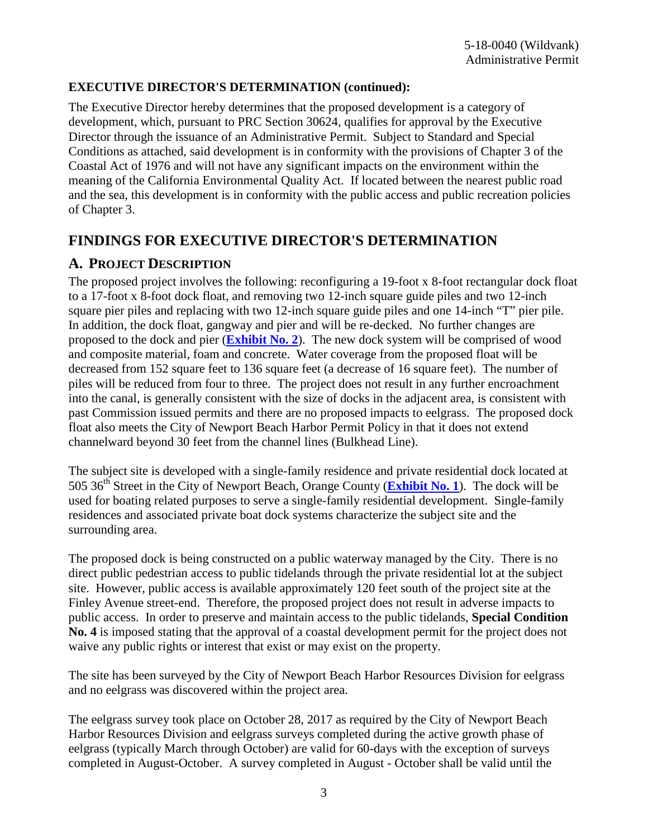### **EXECUTIVE DIRECTOR'S DETERMINATION (continued):**

The Executive Director hereby determines that the proposed development is a category of development, which, pursuant to PRC Section 30624, qualifies for approval by the Executive Director through the issuance of an Administrative Permit. Subject to Standard and Special Conditions as attached, said development is in conformity with the provisions of Chapter 3 of the Coastal Act of 1976 and will not have any significant impacts on the environment within the meaning of the California Environmental Quality Act. If located between the nearest public road and the sea, this development is in conformity with the public access and public recreation policies of Chapter 3.

## **FINDINGS FOR EXECUTIVE DIRECTOR'S DETERMINATION**

### **A. PROJECT DESCRIPTION**

The proposed project involves the following: reconfiguring a 19-foot x 8-foot rectangular dock float to a 17-foot x 8-foot dock float, and removing two 12-inch square guide piles and two 12-inch square pier piles and replacing with two 12-inch square guide piles and one 14-inch "T" pier pile. In addition, the dock float, gangway and pier and will be re-decked. No further changes are proposed to the dock and pier (**[Exhibit No. 2](https://documents.coastal.ca.gov/reports/2018/5/F5b/F5b-5-2018-exhibits.pdf)**). The new dock system will be comprised of wood and composite material, foam and concrete. Water coverage from the proposed float will be decreased from 152 square feet to 136 square feet (a decrease of 16 square feet). The number of piles will be reduced from four to three. The project does not result in any further encroachment into the canal, is generally consistent with the size of docks in the adjacent area, is consistent with past Commission issued permits and there are no proposed impacts to eelgrass. The proposed dock float also meets the City of Newport Beach Harbor Permit Policy in that it does not extend channelward beyond 30 feet from the channel lines (Bulkhead Line).

The subject site is developed with a single-family residence and private residential dock located at 505 36th Street in the City of Newport Beach, Orange County (**[Exhibit No. 1](https://documents.coastal.ca.gov/reports/2018/5/F5b/F5b-5-2018-exhibits.pdf)**). The dock will be used for boating related purposes to serve a single-family residential development. Single-family residences and associated private boat dock systems characterize the subject site and the surrounding area.

The proposed dock is being constructed on a public waterway managed by the City. There is no direct public pedestrian access to public tidelands through the private residential lot at the subject site. However, public access is available approximately 120 feet south of the project site at the Finley Avenue street-end. Therefore, the proposed project does not result in adverse impacts to public access. In order to preserve and maintain access to the public tidelands, **Special Condition No. 4** is imposed stating that the approval of a coastal development permit for the project does not waive any public rights or interest that exist or may exist on the property.

The site has been surveyed by the City of Newport Beach Harbor Resources Division for eelgrass and no eelgrass was discovered within the project area.

The eelgrass survey took place on October 28, 2017 as required by the City of Newport Beach Harbor Resources Division and eelgrass surveys completed during the active growth phase of eelgrass (typically March through October) are valid for 60-days with the exception of surveys completed in August-October. A survey completed in August - October shall be valid until the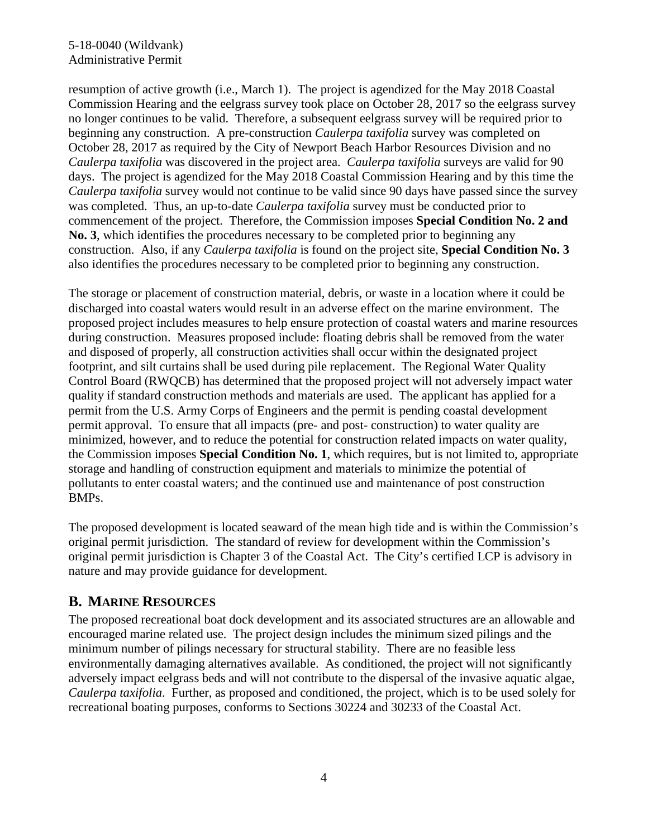### 5-18-0040 (Wildvank) Administrative Permit

resumption of active growth (i.e., March 1). The project is agendized for the May 2018 Coastal Commission Hearing and the eelgrass survey took place on October 28, 2017 so the eelgrass survey no longer continues to be valid. Therefore, a subsequent eelgrass survey will be required prior to beginning any construction. A pre-construction *Caulerpa taxifolia* survey was completed on October 28, 2017 as required by the City of Newport Beach Harbor Resources Division and no *Caulerpa taxifolia* was discovered in the project area. *Caulerpa taxifolia* surveys are valid for 90 days. The project is agendized for the May 2018 Coastal Commission Hearing and by this time the *Caulerpa taxifolia* survey would not continue to be valid since 90 days have passed since the survey was completed. Thus, an up-to-date *Caulerpa taxifolia* survey must be conducted prior to commencement of the project. Therefore, the Commission imposes **Special Condition No. 2 and No. 3**, which identifies the procedures necessary to be completed prior to beginning any construction. Also, if any *Caulerpa taxifolia* is found on the project site, **Special Condition No. 3** also identifies the procedures necessary to be completed prior to beginning any construction.

The storage or placement of construction material, debris, or waste in a location where it could be discharged into coastal waters would result in an adverse effect on the marine environment. The proposed project includes measures to help ensure protection of coastal waters and marine resources during construction. Measures proposed include: floating debris shall be removed from the water and disposed of properly, all construction activities shall occur within the designated project footprint, and silt curtains shall be used during pile replacement. The Regional Water Quality Control Board (RWQCB) has determined that the proposed project will not adversely impact water quality if standard construction methods and materials are used. The applicant has applied for a permit from the U.S. Army Corps of Engineers and the permit is pending coastal development permit approval. To ensure that all impacts (pre- and post- construction) to water quality are minimized, however, and to reduce the potential for construction related impacts on water quality, the Commission imposes **Special Condition No. 1**, which requires, but is not limited to, appropriate storage and handling of construction equipment and materials to minimize the potential of pollutants to enter coastal waters; and the continued use and maintenance of post construction BMPs.

The proposed development is located seaward of the mean high tide and is within the Commission's original permit jurisdiction. The standard of review for development within the Commission's original permit jurisdiction is Chapter 3 of the Coastal Act. The City's certified LCP is advisory in nature and may provide guidance for development.

### **B. MARINE RESOURCES**

The proposed recreational boat dock development and its associated structures are an allowable and encouraged marine related use. The project design includes the minimum sized pilings and the minimum number of pilings necessary for structural stability. There are no feasible less environmentally damaging alternatives available. As conditioned, the project will not significantly adversely impact eelgrass beds and will not contribute to the dispersal of the invasive aquatic algae, *Caulerpa taxifolia*. Further, as proposed and conditioned, the project, which is to be used solely for recreational boating purposes, conforms to Sections 30224 and 30233 of the Coastal Act.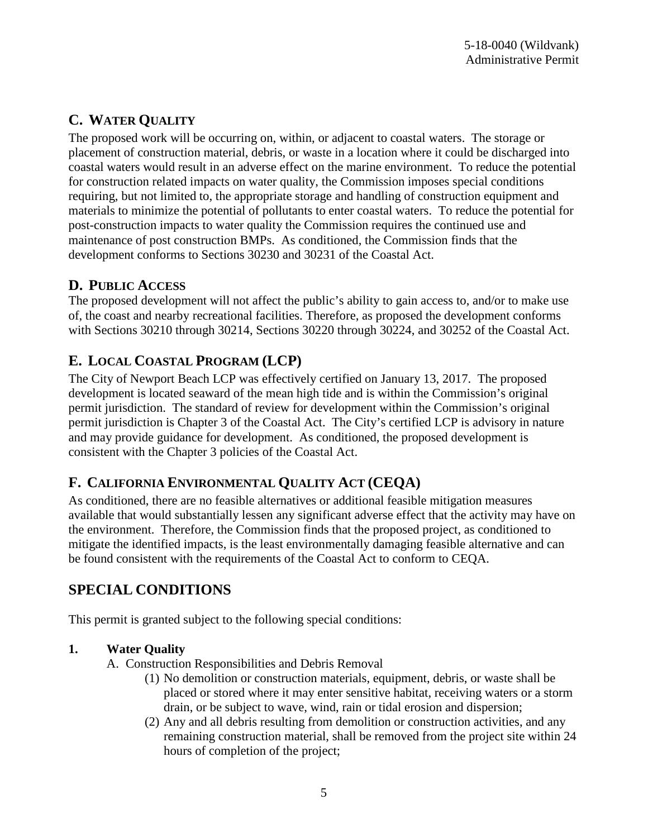# **C. WATER QUALITY**

The proposed work will be occurring on, within, or adjacent to coastal waters. The storage or placement of construction material, debris, or waste in a location where it could be discharged into coastal waters would result in an adverse effect on the marine environment. To reduce the potential for construction related impacts on water quality, the Commission imposes special conditions requiring, but not limited to, the appropriate storage and handling of construction equipment and materials to minimize the potential of pollutants to enter coastal waters. To reduce the potential for post-construction impacts to water quality the Commission requires the continued use and maintenance of post construction BMPs. As conditioned, the Commission finds that the development conforms to Sections 30230 and 30231 of the Coastal Act.

## **D. PUBLIC ACCESS**

The proposed development will not affect the public's ability to gain access to, and/or to make use of, the coast and nearby recreational facilities. Therefore, as proposed the development conforms with Sections 30210 through 30214, Sections 30220 through 30224, and 30252 of the Coastal Act.

# **E. LOCAL COASTAL PROGRAM (LCP)**

The City of Newport Beach LCP was effectively certified on January 13, 2017. The proposed development is located seaward of the mean high tide and is within the Commission's original permit jurisdiction. The standard of review for development within the Commission's original permit jurisdiction is Chapter 3 of the Coastal Act. The City's certified LCP is advisory in nature and may provide guidance for development. As conditioned, the proposed development is consistent with the Chapter 3 policies of the Coastal Act.

# **F. CALIFORNIA ENVIRONMENTAL QUALITY ACT (CEQA)**

As conditioned, there are no feasible alternatives or additional feasible mitigation measures available that would substantially lessen any significant adverse effect that the activity may have on the environment. Therefore, the Commission finds that the proposed project, as conditioned to mitigate the identified impacts, is the least environmentally damaging feasible alternative and can be found consistent with the requirements of the Coastal Act to conform to CEQA.

# **SPECIAL CONDITIONS**

This permit is granted subject to the following special conditions:

### **1. Water Quality**

- A. Construction Responsibilities and Debris Removal
	- (1) No demolition or construction materials, equipment, debris, or waste shall be placed or stored where it may enter sensitive habitat, receiving waters or a storm drain, or be subject to wave, wind, rain or tidal erosion and dispersion;
	- (2) Any and all debris resulting from demolition or construction activities, and any remaining construction material, shall be removed from the project site within 24 hours of completion of the project;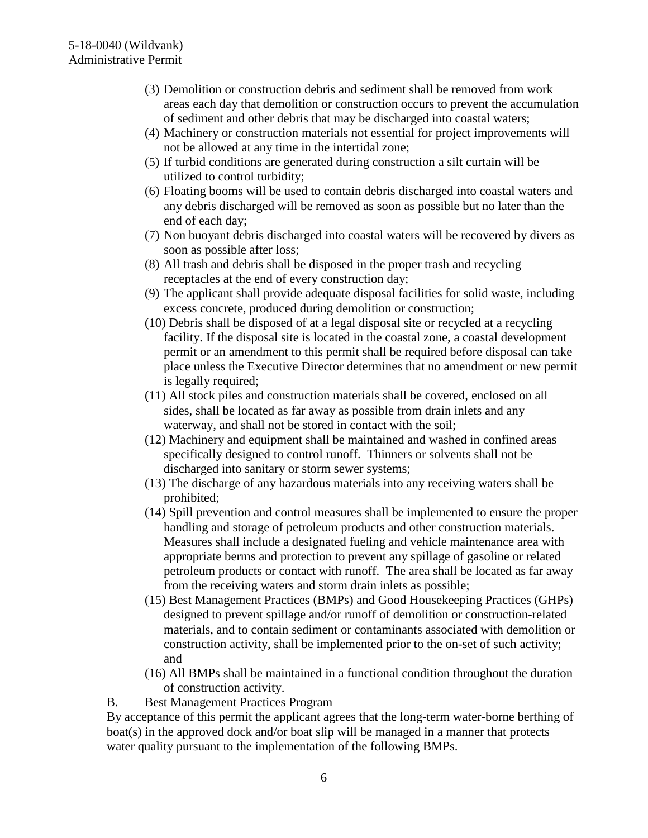- (3) Demolition or construction debris and sediment shall be removed from work areas each day that demolition or construction occurs to prevent the accumulation of sediment and other debris that may be discharged into coastal waters;
- (4) Machinery or construction materials not essential for project improvements will not be allowed at any time in the intertidal zone;
- (5) If turbid conditions are generated during construction a silt curtain will be utilized to control turbidity;
- (6) Floating booms will be used to contain debris discharged into coastal waters and any debris discharged will be removed as soon as possible but no later than the end of each day;
- (7) Non buoyant debris discharged into coastal waters will be recovered by divers as soon as possible after loss;
- (8) All trash and debris shall be disposed in the proper trash and recycling receptacles at the end of every construction day;
- (9) The applicant shall provide adequate disposal facilities for solid waste, including excess concrete, produced during demolition or construction;
- (10) Debris shall be disposed of at a legal disposal site or recycled at a recycling facility. If the disposal site is located in the coastal zone, a coastal development permit or an amendment to this permit shall be required before disposal can take place unless the Executive Director determines that no amendment or new permit is legally required;
- (11) All stock piles and construction materials shall be covered, enclosed on all sides, shall be located as far away as possible from drain inlets and any waterway, and shall not be stored in contact with the soil;
- (12) Machinery and equipment shall be maintained and washed in confined areas specifically designed to control runoff. Thinners or solvents shall not be discharged into sanitary or storm sewer systems;
- (13) The discharge of any hazardous materials into any receiving waters shall be prohibited;
- (14) Spill prevention and control measures shall be implemented to ensure the proper handling and storage of petroleum products and other construction materials. Measures shall include a designated fueling and vehicle maintenance area with appropriate berms and protection to prevent any spillage of gasoline or related petroleum products or contact with runoff. The area shall be located as far away from the receiving waters and storm drain inlets as possible;
- (15) Best Management Practices (BMPs) and Good Housekeeping Practices (GHPs) designed to prevent spillage and/or runoff of demolition or construction-related materials, and to contain sediment or contaminants associated with demolition or construction activity, shall be implemented prior to the on-set of such activity; and
- (16) All BMPs shall be maintained in a functional condition throughout the duration of construction activity.
- B. Best Management Practices Program

By acceptance of this permit the applicant agrees that the long-term water-borne berthing of boat(s) in the approved dock and/or boat slip will be managed in a manner that protects water quality pursuant to the implementation of the following BMPs.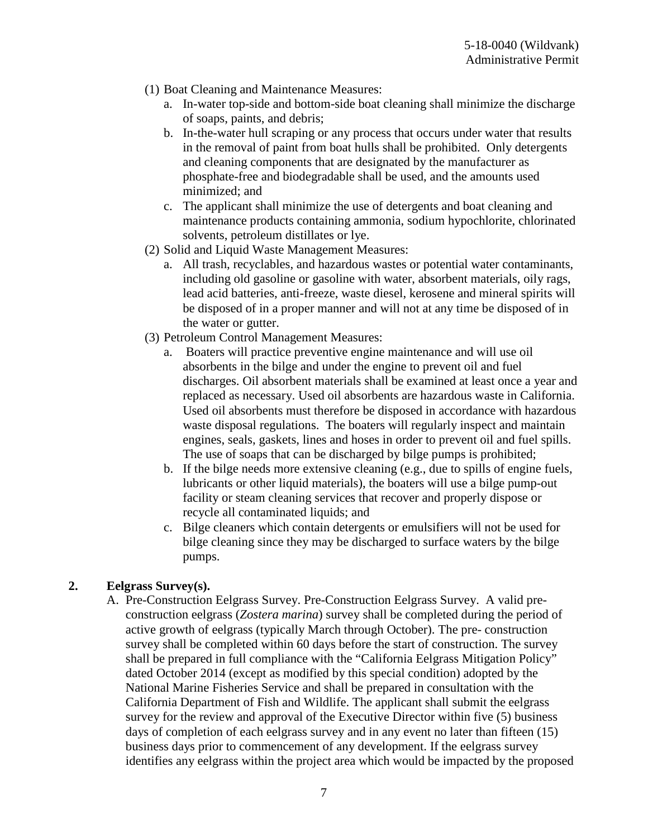- (1) Boat Cleaning and Maintenance Measures:
	- a. In-water top-side and bottom-side boat cleaning shall minimize the discharge of soaps, paints, and debris;
	- b. In-the-water hull scraping or any process that occurs under water that results in the removal of paint from boat hulls shall be prohibited. Only detergents and cleaning components that are designated by the manufacturer as phosphate-free and biodegradable shall be used, and the amounts used minimized; and
	- c. The applicant shall minimize the use of detergents and boat cleaning and maintenance products containing ammonia, sodium hypochlorite, chlorinated solvents, petroleum distillates or lye.
- (2) Solid and Liquid Waste Management Measures:
	- a. All trash, recyclables, and hazardous wastes or potential water contaminants, including old gasoline or gasoline with water, absorbent materials, oily rags, lead acid batteries, anti-freeze, waste diesel, kerosene and mineral spirits will be disposed of in a proper manner and will not at any time be disposed of in the water or gutter.
- (3) Petroleum Control Management Measures:
	- a. Boaters will practice preventive engine maintenance and will use oil absorbents in the bilge and under the engine to prevent oil and fuel discharges. Oil absorbent materials shall be examined at least once a year and replaced as necessary. Used oil absorbents are hazardous waste in California. Used oil absorbents must therefore be disposed in accordance with hazardous waste disposal regulations. The boaters will regularly inspect and maintain engines, seals, gaskets, lines and hoses in order to prevent oil and fuel spills. The use of soaps that can be discharged by bilge pumps is prohibited;
	- b. If the bilge needs more extensive cleaning (e.g., due to spills of engine fuels, lubricants or other liquid materials), the boaters will use a bilge pump-out facility or steam cleaning services that recover and properly dispose or recycle all contaminated liquids; and
	- c. Bilge cleaners which contain detergents or emulsifiers will not be used for bilge cleaning since they may be discharged to surface waters by the bilge pumps.

### **2. Eelgrass Survey(s).**

A. Pre-Construction Eelgrass Survey. Pre-Construction Eelgrass Survey. A valid preconstruction eelgrass (*Zostera marina*) survey shall be completed during the period of active growth of eelgrass (typically March through October). The pre- construction survey shall be completed within 60 days before the start of construction. The survey shall be prepared in full compliance with the "California Eelgrass Mitigation Policy" dated October 2014 (except as modified by this special condition) adopted by the National Marine Fisheries Service and shall be prepared in consultation with the California Department of Fish and Wildlife. The applicant shall submit the eelgrass survey for the review and approval of the Executive Director within five (5) business days of completion of each eelgrass survey and in any event no later than fifteen (15) business days prior to commencement of any development. If the eelgrass survey identifies any eelgrass within the project area which would be impacted by the proposed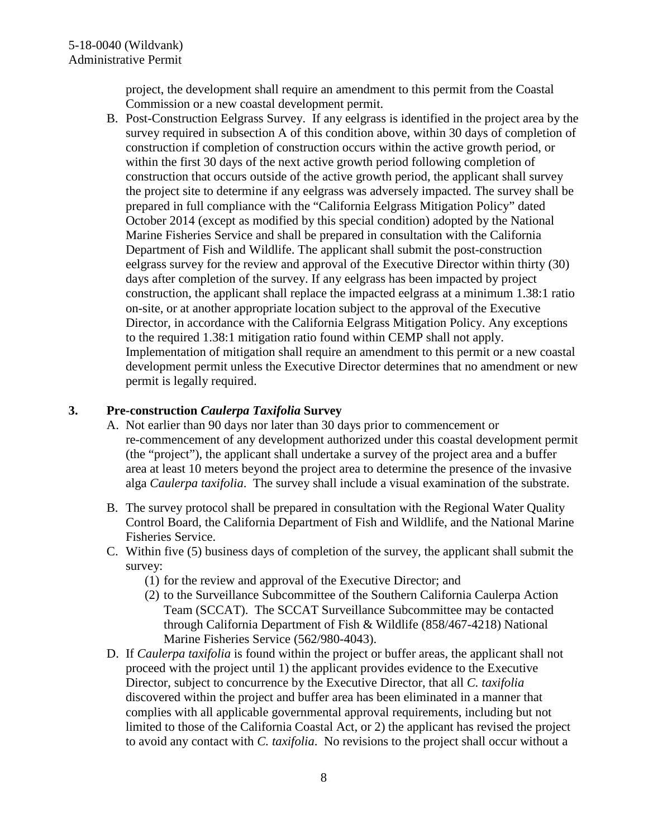project, the development shall require an amendment to this permit from the Coastal Commission or a new coastal development permit.

B. Post-Construction Eelgrass Survey. If any eelgrass is identified in the project area by the survey required in subsection A of this condition above, within 30 days of completion of construction if completion of construction occurs within the active growth period, or within the first 30 days of the next active growth period following completion of construction that occurs outside of the active growth period, the applicant shall survey the project site to determine if any eelgrass was adversely impacted. The survey shall be prepared in full compliance with the "California Eelgrass Mitigation Policy" dated October 2014 (except as modified by this special condition) adopted by the National Marine Fisheries Service and shall be prepared in consultation with the California Department of Fish and Wildlife. The applicant shall submit the post-construction eelgrass survey for the review and approval of the Executive Director within thirty (30) days after completion of the survey. If any eelgrass has been impacted by project construction, the applicant shall replace the impacted eelgrass at a minimum 1.38:1 ratio on-site, or at another appropriate location subject to the approval of the Executive Director, in accordance with the California Eelgrass Mitigation Policy. Any exceptions to the required 1.38:1 mitigation ratio found within CEMP shall not apply. Implementation of mitigation shall require an amendment to this permit or a new coastal development permit unless the Executive Director determines that no amendment or new permit is legally required.

### **3. Pre-construction** *Caulerpa Taxifolia* **Survey**

- A. Not earlier than 90 days nor later than 30 days prior to commencement or re-commencement of any development authorized under this coastal development permit (the "project"), the applicant shall undertake a survey of the project area and a buffer area at least 10 meters beyond the project area to determine the presence of the invasive alga *Caulerpa taxifolia*. The survey shall include a visual examination of the substrate.
- B. The survey protocol shall be prepared in consultation with the Regional Water Quality Control Board, the California Department of Fish and Wildlife, and the National Marine Fisheries Service.
- C. Within five (5) business days of completion of the survey, the applicant shall submit the survey:
	- (1) for the review and approval of the Executive Director; and
	- (2) to the Surveillance Subcommittee of the Southern California Caulerpa Action Team (SCCAT). The SCCAT Surveillance Subcommittee may be contacted through California Department of Fish & Wildlife (858/467-4218) National Marine Fisheries Service (562/980-4043).
- D. If *Caulerpa taxifolia* is found within the project or buffer areas, the applicant shall not proceed with the project until 1) the applicant provides evidence to the Executive Director, subject to concurrence by the Executive Director, that all *C. taxifolia* discovered within the project and buffer area has been eliminated in a manner that complies with all applicable governmental approval requirements, including but not limited to those of the California Coastal Act, or 2) the applicant has revised the project to avoid any contact with *C. taxifolia*. No revisions to the project shall occur without a